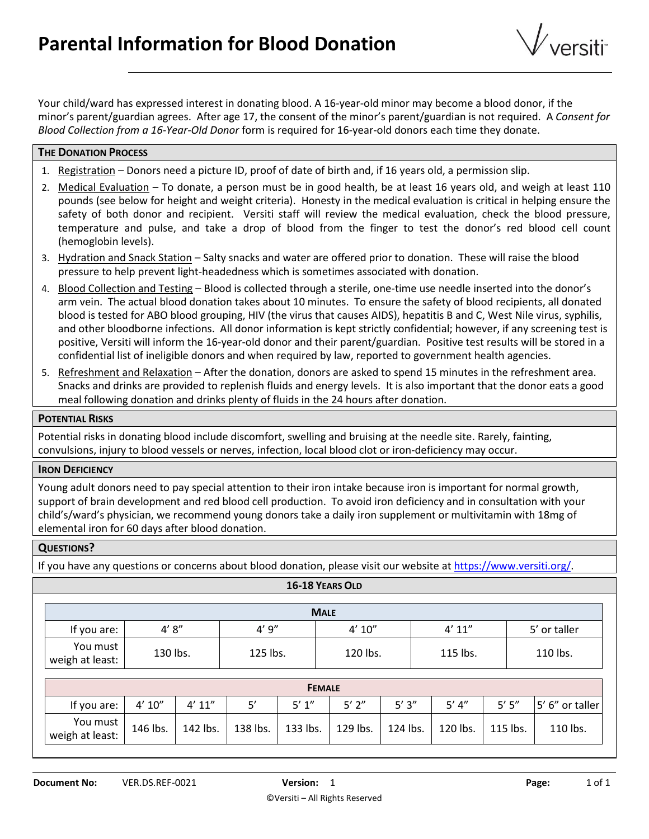

Your child/ward has expressed interest in donating blood. A 16-year-old minor may become a blood donor, if the minor's parent/guardian agrees. After age 17, the consent of the minor's parent/guardian is not required. A *Consent for Blood Collection from a 16-Year-Old Donor* form is required for 16-year-old donors each time they donate.

## **THE DONATION PROCESS**

- 1. Registration Donors need a picture ID, proof of date of birth and, if 16 years old, a permission slip.
- 2. Medical Evaluation To donate, a person must be in good health, be at least 16 years old, and weigh at least 110 pounds (see below for height and weight criteria). Honesty in the medical evaluation is critical in helping ensure the safety of both donor and recipient. Versiti staff will review the medical evaluation, check the blood pressure, temperature and pulse, and take a drop of blood from the finger to test the donor's red blood cell count (hemoglobin levels).
- 3. Hydration and Snack Station Salty snacks and water are offered prior to donation. These will raise the blood pressure to help prevent light-headedness which is sometimes associated with donation.
- 4. Blood Collection and Testing Blood is collected through a sterile, one-time use needle inserted into the donor's arm vein. The actual blood donation takes about 10 minutes. To ensure the safety of blood recipients, all donated blood is tested for ABO blood grouping, HIV (the virus that causes AIDS), hepatitis B and C, West Nile virus, syphilis, and other bloodborne infections. All donor information is kept strictly confidential; however, if any screening test is positive, Versiti will inform the 16-year-old donor and their parent/guardian. Positive test results will be stored in a confidential list of ineligible donors and when required by law, reported to government health agencies.
- 5. Refreshment and Relaxation After the donation, donors are asked to spend 15 minutes in the refreshment area. Snacks and drinks are provided to replenish fluids and energy levels. It is also important that the donor eats a good meal following donation and drinks plenty of fluids in the 24 hours after donation.

#### **POTENTIAL RISKS**

Potential risks in donating blood include discomfort, swelling and bruising at the needle site. Rarely, fainting, convulsions, injury to blood vessels or nerves, infection, local blood clot or iron-deficiency may occur.

### **IRON DEFICIENCY**

Young adult donors need to pay special attention to their iron intake because iron is important for normal growth, support of brain development and red blood cell production. To avoid iron deficiency and in consultation with your child's/ward's physician, we recommend young donors take a daily iron supplement or multivitamin with 18mg of elemental iron for 60 days after blood donation.

### **QUESTIONS?**

If you have any questions or concerns about blood donation, please visit our website a[t https://www.versiti.org/.](https://www.versiti.org/)

|                             |          |          |          | 16-18 YEARS OLD |            |          |          |          |                 |  |
|-----------------------------|----------|----------|----------|-----------------|------------|----------|----------|----------|-----------------|--|
|                             |          |          |          | <b>MALE</b>     |            |          |          |          |                 |  |
| If you are:                 | 4'8''    |          | 4'9''    |                 | 4' 10''    |          | 4' 11''  |          | 5' or taller    |  |
| You must<br>weigh at least: | 130 lbs. |          | 125 lbs. |                 | 120 lbs.   |          | 115 lbs. |          | 110 lbs.        |  |
| <b>FEMALE</b>               |          |          |          |                 |            |          |          |          |                 |  |
| If you are:                 | 4' 10''  | 4' 11''  | 5'       | 5' 1''          | $5'$ $2''$ | 5'3''    | 5' 4''   | 5' 5''   | 5' 6" or taller |  |
| You must<br>weigh at least: | 146 lbs. | 142 lbs. | 138 lbs. | 133 lbs.        | 129 lbs.   | 124 lbs. | 120 lbs. | 115 lbs. | 110 lbs.        |  |
|                             |          |          |          |                 |            |          |          |          |                 |  |